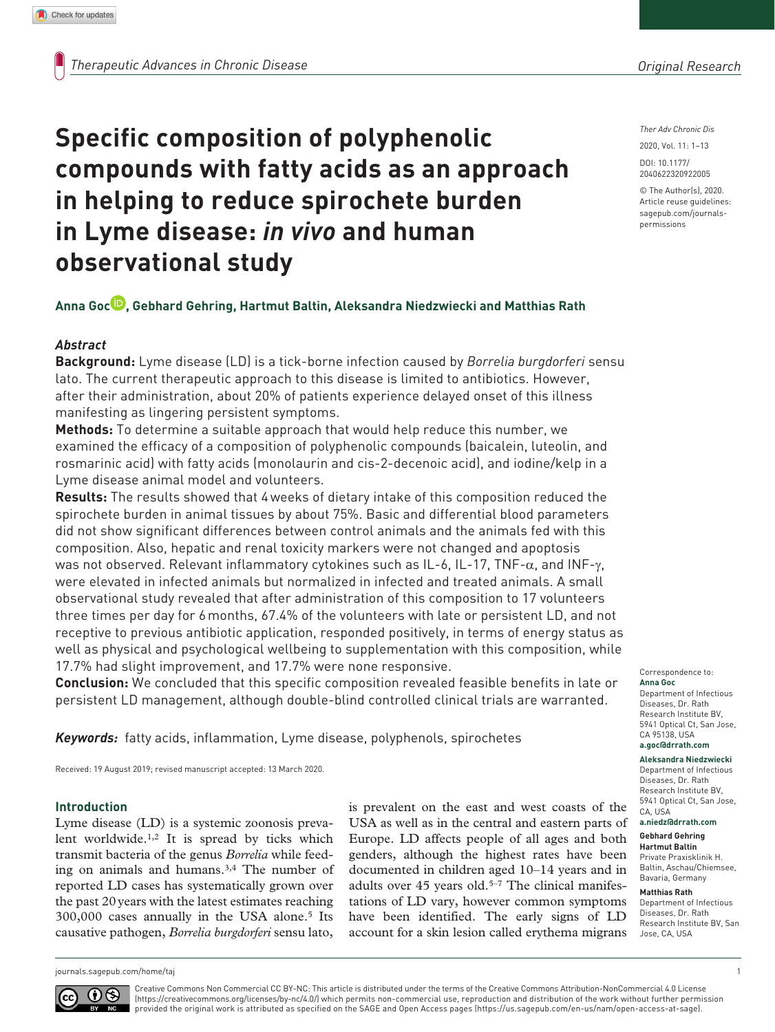*Ther Adv Chronic Dis*

DOI: 10.1177/ 2020, Vol. 11: 1–13

© The Author(s), 2020. Article reuse guidelines: [sagepub.com/journals](https://uk.sagepub.com/en-gb/journals-permissions)[permissions](https://uk.sagepub.com/en-gb/journals-permissions)

https://doi.org/10.1177/2040622320922005 2040622320922005

# **Specific composition of polyphenolic compounds with fatty acids as an approach in helping to reduce spirochete burden in Lyme disease:** *in vivo* **and human observational study**

# **Anna Goc , Gebhard Gehring, Hartmut Baltin, Aleksandra Niedzwiecki and Matthias Rath**

# *Abstract*

**Background:** Lyme disease (LD) is a tick-borne infection caused by *Borrelia burgdorferi* sensu lato. The current therapeutic approach to this disease is limited to antibiotics. However, after their administration, about 20% of patients experience delayed onset of this illness manifesting as lingering persistent symptoms.

**Methods:** To determine a suitable approach that would help reduce this number, we examined the efficacy of a composition of polyphenolic compounds (baicalein, luteolin, and rosmarinic acid) with fatty acids (monolaurin and cis-2-decenoic acid), and iodine/kelp in a Lyme disease animal model and volunteers.

**Results:** The results showed that 4weeks of dietary intake of this composition reduced the spirochete burden in animal tissues by about 75%. Basic and differential blood parameters did not show significant differences between control animals and the animals fed with this composition. Also, hepatic and renal toxicity markers were not changed and apoptosis was not observed. Relevant inflammatory cytokines such as IL-6, IL-17, TNF- $\alpha$ , and INF-γ, were elevated in infected animals but normalized in infected and treated animals. A small observational study revealed that after administration of this composition to 17 volunteers three times per day for 6months, 67.4% of the volunteers with late or persistent LD, and not receptive to previous antibiotic application, responded positively, in terms of energy status as well as physical and psychological wellbeing to supplementation with this composition, while 17.7% had slight improvement, and 17.7% were none responsive.

**Conclusion:** We concluded that this specific composition revealed feasible benefits in late or persistent LD management, although double-blind controlled clinical trials are warranted.

*Keywords:* fatty acids, inflammation, Lyme disease, polyphenols, spirochetes

Received: 19 August 2019; revised manuscript accepted: 13 March 2020.

#### **Introduction**

Lyme disease (LD) is a systemic zoonosis prevalent worldwide.1,2 It is spread by ticks which transmit bacteria of the genus *Borrelia* while feeding on animals and humans.3,4 The number of reported LD cases has systematically grown over the past 20years with the latest estimates reaching 300,000 cases annually in the USA alone.5 Its causative pathogen, *Borrelia burgdorferi* sensu lato, is prevalent on the east and west coasts of the USA as well as in the central and eastern parts of Europe. LD affects people of all ages and both genders, although the highest rates have been documented in children aged 10–14 years and in adults over 45 years old.<sup>5-7</sup> The clinical manifestations of LD vary, however common symptoms have been identified. The early signs of LD account for a skin lesion called erythema migrans

Correspondence to: **Anna Goc** Department of Infectious

Diseases, Dr. Rath Research Institute BV, 5941 Optical Ct, San Jose, CA 95138, USA **[a.goc@drrath.com](mailto:a.goc@drrath.com)**

**Aleksandra Niedzwiecki** Department of Infectious Diseases, Dr. Rath Research Institute BV, 5941 Optical Ct, San Jose, CA, USA

#### **[a.niedz@drrath.com](mailto:a.niedz@drrath.com) Gebhard Gehring**

**Hartmut Baltin** Private Praxisklinik H. Baltin, Aschau/Chiemsee, Bavaria, Germany

#### **Matthias Rath**

Department of Infectious Diseases, Dr. Rath Research Institute BV, San Jose, CA, USA

[journals.sagepub.com/home/taj](https://journals.sagepub.com/home/taj) 1



Creative Commons Non Commercial CC BY-NC: This article is distributed under the terms of the Creative Commons Attribution-NonCommercial 4.0 License (https://creativecommons.org/licenses/by-nc/4.0/) which permits non-commercial use, reproduction and distribution of the work without further permission provided the original work is attributed as specified on the SAGE and Open Access pages (https://us.sagepub.com/en-us/nam/open-access-at-sage).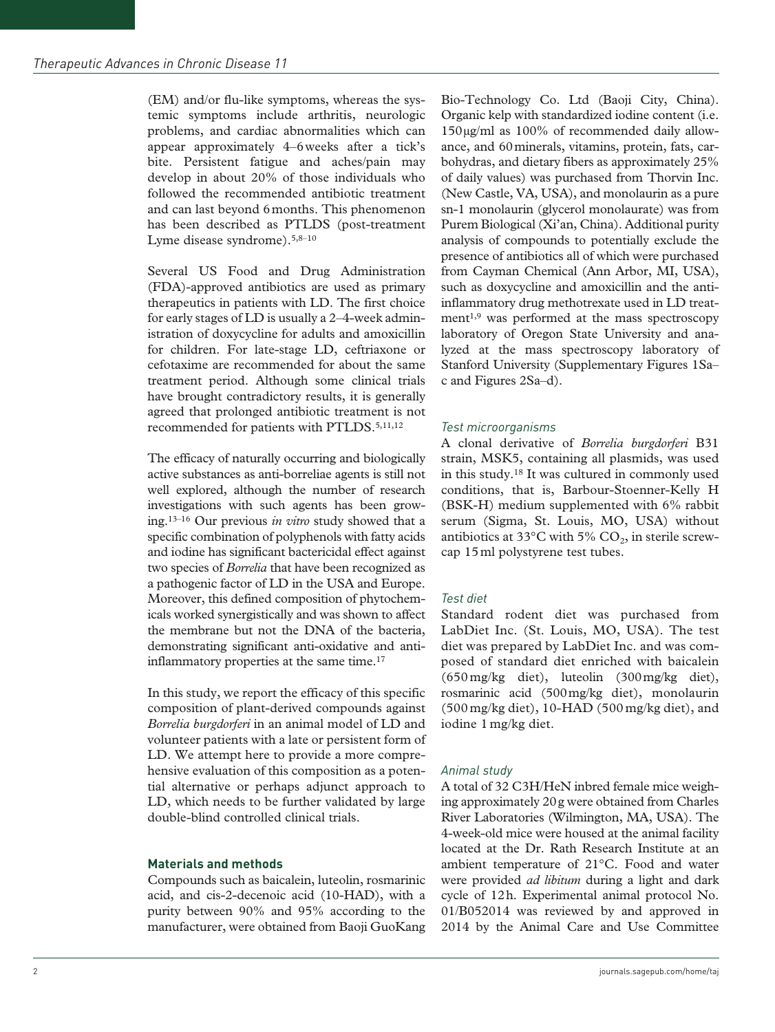(EM) and/or flu-like symptoms, whereas the systemic symptoms include arthritis, neurologic problems, and cardiac abnormalities which can appear approximately 4–6weeks after a tick's bite. Persistent fatigue and aches/pain may develop in about 20% of those individuals who followed the recommended antibiotic treatment and can last beyond 6months. This phenomenon has been described as PTLDS (post-treatment Lyme disease syndrome).<sup>5,8-10</sup>

Several US Food and Drug Administration (FDA)-approved antibiotics are used as primary therapeutics in patients with LD. The first choice for early stages of LD is usually a 2–4-week administration of doxycycline for adults and amoxicillin for children. For late-stage LD, ceftriaxone or cefotaxime are recommended for about the same treatment period. Although some clinical trials have brought contradictory results, it is generally agreed that prolonged antibiotic treatment is not recommended for patients with PTLDS.<sup>5,11,12</sup>

The efficacy of naturally occurring and biologically active substances as anti-borreliae agents is still not well explored, although the number of research investigations with such agents has been growing.13–16 Our previous *in vitro* study showed that a specific combination of polyphenols with fatty acids and iodine has significant bactericidal effect against two species of *Borrelia* that have been recognized as a pathogenic factor of LD in the USA and Europe. Moreover, this defined composition of phytochemicals worked synergistically and was shown to affect the membrane but not the DNA of the bacteria, demonstrating significant anti-oxidative and antiinflammatory properties at the same time.<sup>17</sup>

In this study, we report the efficacy of this specific composition of plant-derived compounds against *Borrelia burgdorferi* in an animal model of LD and volunteer patients with a late or persistent form of LD. We attempt here to provide a more comprehensive evaluation of this composition as a potential alternative or perhaps adjunct approach to LD, which needs to be further validated by large double-blind controlled clinical trials.

# **Materials and methods**

Compounds such as baicalein, luteolin, rosmarinic acid, and cis-2-decenoic acid (10-HAD), with a purity between 90% and 95% according to the manufacturer, were obtained from Baoji GuoKang Bio-Technology Co. Ltd (Baoji City, China). Organic kelp with standardized iodine content (i.e. 150µg/ml as 100% of recommended daily allowance, and 60minerals, vitamins, protein, fats, carbohydras, and dietary fibers as approximately 25% of daily values) was purchased from Thorvin Inc. (New Castle, VA, USA), and monolaurin as a pure sn-1 monolaurin (glycerol monolaurate) was from Purem Biological (Xi'an, China). Additional purity analysis of compounds to potentially exclude the presence of antibiotics all of which were purchased from Cayman Chemical (Ann Arbor, MI, USA), such as doxycycline and amoxicillin and the antiinflammatory drug methotrexate used in LD treatment<sup>1,9</sup> was performed at the mass spectroscopy laboratory of Oregon State University and analyzed at the mass spectroscopy laboratory of Stanford University (Supplementary Figures 1Sa– c and Figures 2Sa–d).

# *Test microorganisms*

A clonal derivative of *Borrelia burgdorferi* B31 strain, MSK5, containing all plasmids, was used in this study.18 It was cultured in commonly used conditions, that is, Barbour-Stoenner-Kelly H (BSK-H) medium supplemented with 6% rabbit serum (Sigma, St. Louis, MO, USA) without antibiotics at 33 $^{\circ}$ C with 5% CO<sub>2</sub>, in sterile screwcap 15ml polystyrene test tubes.

# *Test diet*

Standard rodent diet was purchased from LabDiet Inc. (St. Louis, MO, USA). The test diet was prepared by LabDiet Inc. and was composed of standard diet enriched with baicalein (650 mg/kg diet), luteolin (300mg/kg diet), rosmarinic acid (500mg/kg diet), monolaurin (500 mg/kg diet), 10-HAD (500mg/kg diet), and iodine 1 mg/kg diet.

# *Animal study*

A total of 32 C3H/HeN inbred female mice weighing approximately 20g were obtained from Charles River Laboratories (Wilmington, MA, USA). The 4-week-old mice were housed at the animal facility located at the Dr. Rath Research Institute at an ambient temperature of 21°C. Food and water were provided *ad libitum* during a light and dark cycle of 12h. Experimental animal protocol No. 01/B052014 was reviewed by and approved in 2014 by the Animal Care and Use Committee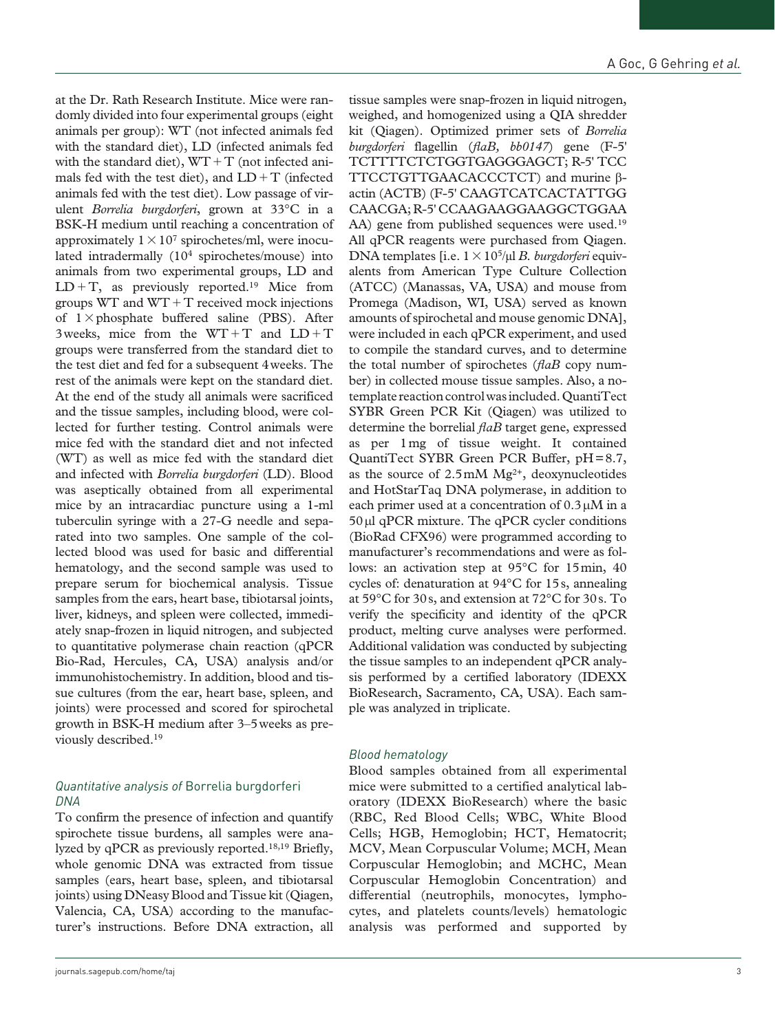at the Dr. Rath Research Institute. Mice were randomly divided into four experimental groups (eight animals per group): WT (not infected animals fed with the standard diet), LD (infected animals fed with the standard diet),  $WT+T$  (not infected animals fed with the test diet), and  $LD+T$  (infected animals fed with the test diet). Low passage of virulent *Borrelia burgdorferi*, grown at 33°C in a BSK-H medium until reaching a concentration of approximately  $1 \times 10^7$  spirochetes/ml, were inoculated intradermally (104 spirochetes/mouse) into animals from two experimental groups, LD and  $LD+T$ , as previously reported.<sup>19</sup> Mice from groups  $WT$  and  $WT + T$  received mock injections of  $1 \times$ phosphate buffered saline (PBS). After 3weeks, mice from the  $WT+T$  and  $LD+T$ groups were transferred from the standard diet to the test diet and fed for a subsequent 4weeks. The rest of the animals were kept on the standard diet. At the end of the study all animals were sacrificed and the tissue samples, including blood, were collected for further testing. Control animals were mice fed with the standard diet and not infected (WT) as well as mice fed with the standard diet and infected with *Borrelia burgdorferi* (LD). Blood was aseptically obtained from all experimental mice by an intracardiac puncture using a 1-ml tuberculin syringe with a 27-G needle and separated into two samples. One sample of the collected blood was used for basic and differential hematology, and the second sample was used to prepare serum for biochemical analysis. Tissue samples from the ears, heart base, tibiotarsal joints, liver, kidneys, and spleen were collected, immediately snap-frozen in liquid nitrogen, and subjected to quantitative polymerase chain reaction (qPCR Bio-Rad, Hercules, CA, USA) analysis and/or immunohistochemistry. In addition, blood and tissue cultures (from the ear, heart base, spleen, and joints) were processed and scored for spirochetal growth in BSK-H medium after 3–5weeks as previously described.19

#### *Quantitative analysis of* Borrelia burgdorferi *DNA*

To confirm the presence of infection and quantify spirochete tissue burdens, all samples were analyzed by qPCR as previously reported.18,19 Briefly, whole genomic DNA was extracted from tissue samples (ears, heart base, spleen, and tibiotarsal joints) using DNeasy Blood and Tissue kit (Qiagen, Valencia, CA, USA) according to the manufacturer's instructions. Before DNA extraction, all

tissue samples were snap-frozen in liquid nitrogen, weighed, and homogenized using a QIA shredder kit (Qiagen). Optimized primer sets of *Borrelia burgdorferi* flagellin (*flaB, bb0147*) gene (F-5' TCTTTTCTCTGGTGAGGGAGCT; R-5' TCC TTCCTGTTGAACACCCTCT) and murine βactin (ACTB) (F-5' CAAGTCATCACTATTGG CAACGA; R-5' CCAAGAAGGAAGGCTGGAA AA) gene from published sequences were used.<sup>19</sup> All qPCR reagents were purchased from Qiagen. DNA templates [i.e. 1×105/µl *B. burgdorferi* equivalents from American Type Culture Collection (ATCC) (Manassas, VA, USA) and mouse from Promega (Madison, WI, USA) served as known amounts of spirochetal and mouse genomic DNA], were included in each qPCR experiment, and used to compile the standard curves, and to determine the total number of spirochetes (*flaB* copy number) in collected mouse tissue samples. Also, a notemplate reaction control was included. QuantiTect SYBR Green PCR Kit (Qiagen) was utilized to determine the borrelial *flaB* target gene, expressed as per 1mg of tissue weight. It contained QuantiTect SYBR Green PCR Buffer, pH=8.7, as the source of  $2.5 \text{mM} \text{ Mg}^{2+}$ , deoxynucleotides and HotStarTaq DNA polymerase, in addition to each primer used at a concentration of  $0.3 \mu M$  in a 50μl qPCR mixture. The qPCR cycler conditions (BioRad CFX96) were programmed according to manufacturer's recommendations and were as follows: an activation step at 95°C for 15min, 40 cycles of: denaturation at 94°C for 15s, annealing at 59°C for 30s, and extension at 72°C for 30s. To verify the specificity and identity of the qPCR product, melting curve analyses were performed. Additional validation was conducted by subjecting

the tissue samples to an independent qPCR analysis performed by a certified laboratory (IDEXX BioResearch, Sacramento, CA, USA). Each sample was analyzed in triplicate.

# *Blood hematology*

Blood samples obtained from all experimental mice were submitted to a certified analytical laboratory (IDEXX BioResearch) where the basic (RBC, Red Blood Cells; WBC, White Blood Cells; HGB, Hemoglobin; HCT, Hematocrit; MCV, Mean Corpuscular Volume; MCH, Mean Corpuscular Hemoglobin; and MCHC, Mean Corpuscular Hemoglobin Concentration) and differential (neutrophils, monocytes, lymphocytes, and platelets counts/levels) hematologic analysis was performed and supported by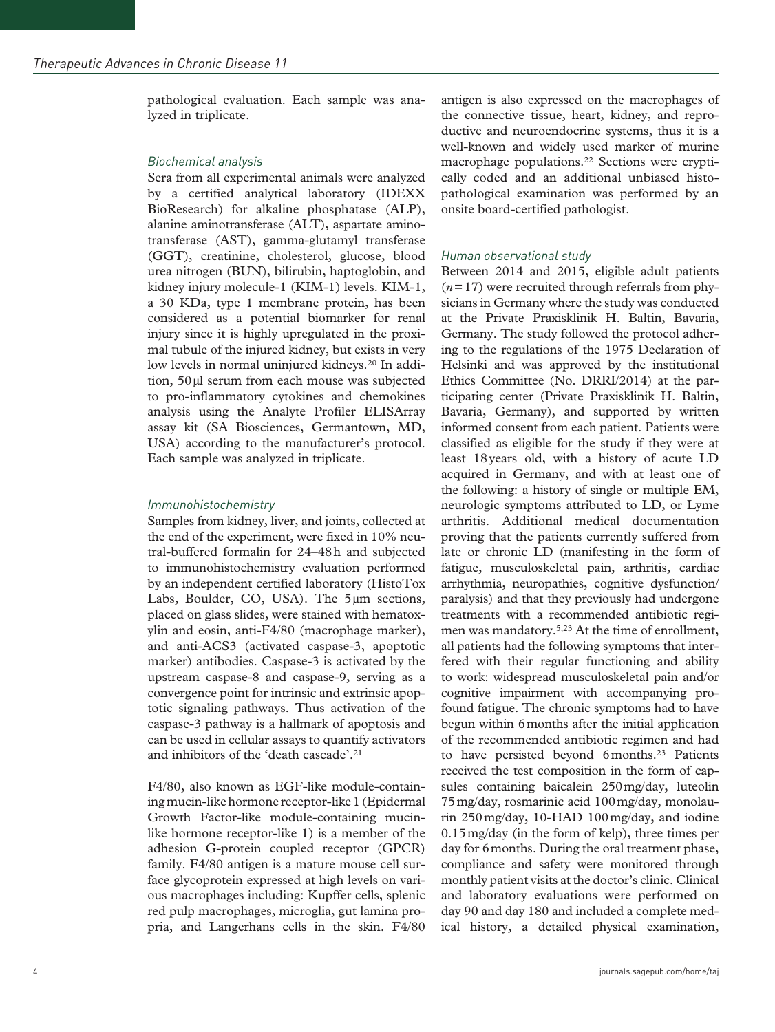pathological evaluation. Each sample was analyzed in triplicate.

# *Biochemical analysis*

Sera from all experimental animals were analyzed by a certified analytical laboratory (IDEXX BioResearch) for alkaline phosphatase (ALP), alanine aminotransferase (ALT), aspartate aminotransferase (AST), gamma-glutamyl transferase (GGT), creatinine, cholesterol, glucose, blood urea nitrogen (BUN), bilirubin, haptoglobin, and kidney injury molecule-1 (KIM-1) levels. KIM-1, a 30 KDa, type 1 membrane protein, has been considered as a potential biomarker for renal injury since it is highly upregulated in the proximal tubule of the injured kidney, but exists in very low levels in normal uninjured kidneys.<sup>20</sup> In addition, 50µl serum from each mouse was subjected to pro-inflammatory cytokines and chemokines analysis using the Analyte Profiler ELISArray assay kit (SA Biosciences, Germantown, MD, USA) according to the manufacturer's protocol. Each sample was analyzed in triplicate.

## *Immunohistochemistry*

Samples from kidney, liver, and joints, collected at the end of the experiment, were fixed in 10% neutral-buffered formalin for 24–48h and subjected to immunohistochemistry evaluation performed by an independent certified laboratory (HistoTox Labs, Boulder, CO, USA). The 5µm sections, placed on glass slides, were stained with hematoxylin and eosin, anti-F4/80 (macrophage marker), and anti-ACS3 (activated caspase-3, apoptotic marker) antibodies. Caspase-3 is activated by the upstream caspase-8 and caspase-9, serving as a convergence point for intrinsic and extrinsic apoptotic signaling pathways. Thus activation of the caspase-3 pathway is a hallmark of apoptosis and can be used in cellular assays to quantify activators and inhibitors of the 'death cascade'.21

F4/80, also known as EGF-like module-containing mucin-like hormone receptor-like 1 (Epidermal Growth Factor-like module-containing mucinlike hormone receptor-like 1) is a member of the adhesion G-protein coupled receptor (GPCR) family. F4/80 antigen is a mature mouse cell surface glycoprotein expressed at high levels on various macrophages including: Kupffer cells, splenic red pulp macrophages, microglia, gut lamina propria, and Langerhans cells in the skin. F4/80 antigen is also expressed on the macrophages of the connective tissue, heart, kidney, and reproductive and neuroendocrine systems, thus it is a well-known and widely used marker of murine macrophage populations.22 Sections were cryptically coded and an additional unbiased histopathological examination was performed by an onsite board-certified pathologist.

# *Human observational study*

Between 2014 and 2015, eligible adult patients  $(n=17)$  were recruited through referrals from physicians in Germany where the study was conducted at the Private Praxisklinik H. Baltin, Bavaria, Germany. The study followed the protocol adhering to the regulations of the 1975 Declaration of Helsinki and was approved by the institutional Ethics Committee (No. DRRI/2014) at the participating center (Private Praxisklinik H. Baltin, Bavaria, Germany), and supported by written informed consent from each patient. Patients were classified as eligible for the study if they were at least 18years old, with a history of acute LD acquired in Germany, and with at least one of the following: a history of single or multiple EM, neurologic symptoms attributed to LD, or Lyme arthritis. Additional medical documentation proving that the patients currently suffered from late or chronic LD (manifesting in the form of fatigue, musculoskeletal pain, arthritis, cardiac arrhythmia, neuropathies, cognitive dysfunction/ paralysis) and that they previously had undergone treatments with a recommended antibiotic regimen was mandatory.5,23 At the time of enrollment, all patients had the following symptoms that interfered with their regular functioning and ability to work: widespread musculoskeletal pain and/or cognitive impairment with accompanying profound fatigue. The chronic symptoms had to have begun within 6months after the initial application of the recommended antibiotic regimen and had to have persisted beyond 6months.<sup>23</sup> Patients received the test composition in the form of capsules containing baicalein 250mg/day, luteolin 75mg/day, rosmarinic acid 100mg/day, monolaurin 250mg/day, 10-HAD 100mg/day, and iodine 0.15mg/day (in the form of kelp), three times per day for 6months. During the oral treatment phase, compliance and safety were monitored through monthly patient visits at the doctor's clinic. Clinical and laboratory evaluations were performed on day 90 and day 180 and included a complete medical history, a detailed physical examination,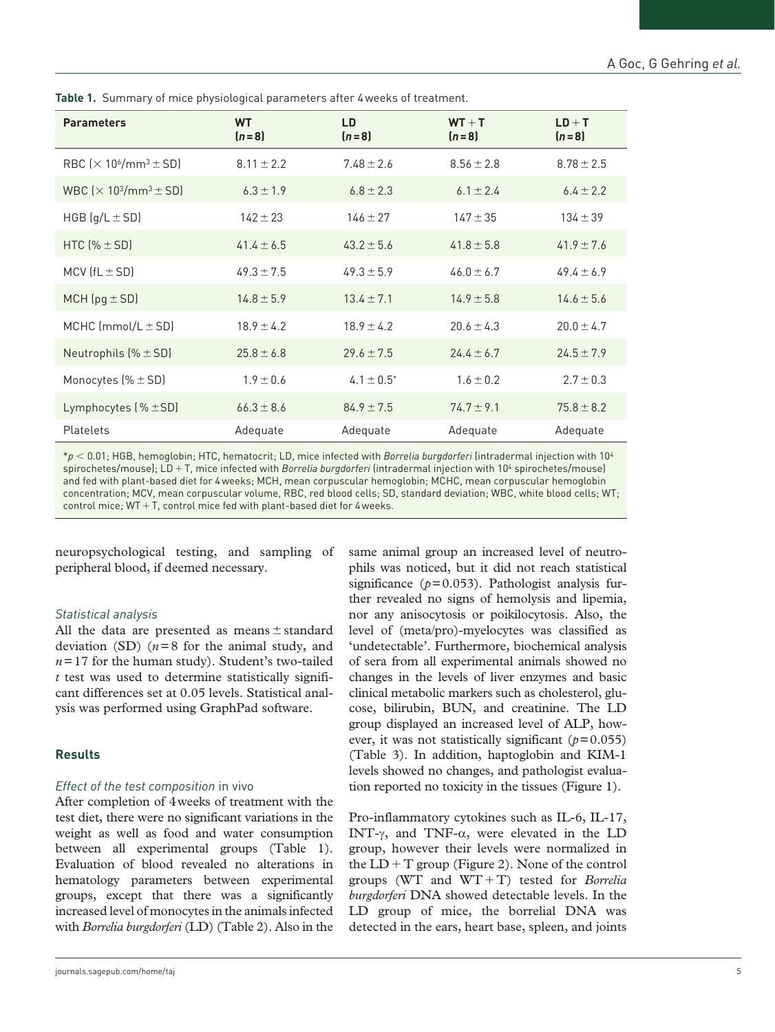| <b>Parameters</b>                                                     | <b>WT</b><br>$(n=8)$ | LD<br>$(n=8)$   | $WT + T$<br>$(n=8)$ | $LD + T$<br>$(n=8)$ |
|-----------------------------------------------------------------------|----------------------|-----------------|---------------------|---------------------|
| RBC $\left[\times 10^{6} \middle/ \text{mm}^{3} \pm \text{SD}\right]$ | $8.11 \pm 2.2$       | $7.48 \pm 2.6$  | $8.56 \pm 2.8$      | $8.78 \pm 2.5$      |
| WBC $\left[\times 10^3\text{/mm}^3 \pm \text{SD}\right]$              | $6.3 \pm 1.9$        | $6.8 \pm 2.3$   | $6.1 \pm 2.4$       | $6.4 \pm 2.2$       |
| HGB $(q/L \pm SD)$                                                    | $142 \pm 23$         | $146 \pm 27$    | $147 \pm 35$        | $134 \pm 39$        |
| HTC $(%$ $(* \pm SD)$                                                 | $41.4 \pm 6.5$       | $43.2 \pm 5.6$  | $41.8 \pm 5.8$      | $41.9 \pm 7.6$      |
| MCV $(fL \pm SD)$                                                     | $49.3 \pm 7.5$       | $49.3 \pm 5.9$  | $46.0 \pm 6.7$      | $49.4 \pm 6.9$      |
| MCH $(pg \pm SD)$                                                     | $14.8 \pm 5.9$       | $13.4 \pm 7.1$  | $14.9 \pm 5.8$      | $14.6 \pm 5.6$      |
| MCHC $\text{mmol/L} \pm \text{SD}$                                    | $18.9 \pm 4.2$       | $18.9 \pm 4.2$  | $20.6 \pm 4.3$      | $20.0 \pm 4.7$      |
| Neutrophils $(% \mathbb{R} )$ $\leq$ SD)                              | $25.8 \pm 6.8$       | $29.6 \pm 7.5$  | $24.4 \pm 6.7$      | $24.5 \pm 7.9$      |
| Monocytes $% \pm SD$                                                  | $1.9 \pm 0.6$        | $4.1 \pm 0.5^*$ | $1.6 \pm 0.2$       | $2.7 \pm 0.3$       |
| Lymphocytes $(% \mathbb{R} )$ $\leq$ SD)                              | $66.3 \pm 8.6$       | $84.9 \pm 7.5$  | $74.7 \pm 9.1$      | $75.8 \pm 8.2$      |
| Platelets                                                             | Adequate             | Adequate        | Adequate            | Adequate            |

**Table 1.** Summary of mice physiological parameters after 4weeks of treatment.

\**p* < 0.01; HGB, hemoglobin; HTC, hematocrit; LD, mice infected with *Borrelia burgdorferi* (intradermal injection with 104 spirochetes/mouse); LD+T, mice infected with *Borrelia burgdorferi* (intradermal injection with 104 spirochetes/mouse) and fed with plant-based diet for 4weeks; MCH, mean corpuscular hemoglobin; MCHC, mean corpuscular hemoglobin concentration; MCV, mean corpuscular volume, RBC, red blood cells; SD, standard deviation; WBC, white blood cells; WT; control mice;  $WT + T$ , control mice fed with plant-based diet for 4 weeks.

neuropsychological testing, and sampling of peripheral blood, if deemed necessary.

#### *Statistical analysis*

All the data are presented as means  $\pm$  standard deviation (SD) (*n*=8 for the animal study, and  $n=17$  for the human study). Student's two-tailed *t* test was used to determine statistically significant differences set at 0.05 levels. Statistical analysis was performed using GraphPad software.

#### **Results**

#### *Effect of the test composition* in vivo

After completion of 4weeks of treatment with the test diet, there were no significant variations in the weight as well as food and water consumption between all experimental groups (Table 1). Evaluation of blood revealed no alterations in hematology parameters between experimental groups, except that there was a significantly increased level of monocytes in the animals infected with *Borrelia burgdorferi* (LD) (Table 2). Also in the

same animal group an increased level of neutrophils was noticed, but it did not reach statistical significance  $(p=0.053)$ . Pathologist analysis further revealed no signs of hemolysis and lipemia, nor any anisocytosis or poikilocytosis. Also, the level of (meta/pro)-myelocytes was classified as 'undetectable'. Furthermore, biochemical analysis of sera from all experimental animals showed no changes in the levels of liver enzymes and basic clinical metabolic markers such as cholesterol, glucose, bilirubin, BUN, and creatinine. The LD group displayed an increased level of ALP, however, it was not statistically significant  $(p=0.055)$ (Table 3). In addition, haptoglobin and KIM-1 levels showed no changes, and pathologist evaluation reported no toxicity in the tissues (Figure 1).

Pro-inflammatory cytokines such as IL-6, IL-17, INT-γ, and TNF-α, were elevated in the LD group, however their levels were normalized in the  $LD+T$  group (Figure 2). None of the control groups (WT and WT+T) tested for *Borrelia burgdorferi* DNA showed detectable levels. In the LD group of mice, the borrelial DNA was detected in the ears, heart base, spleen, and joints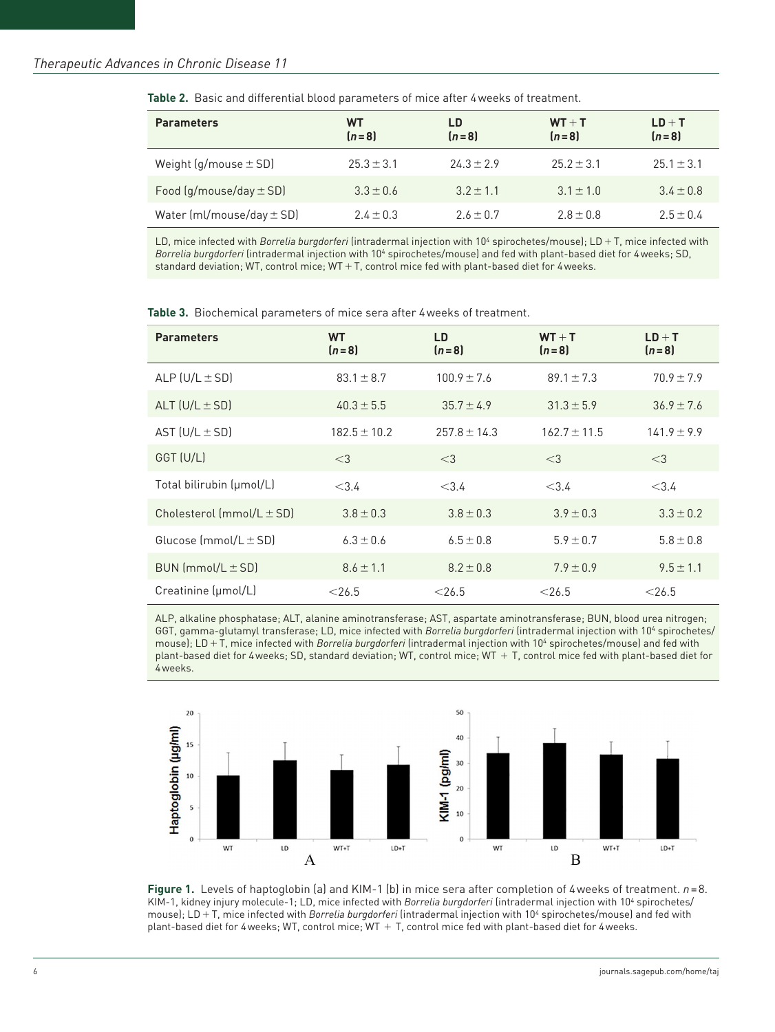| <b>Parameters</b>             | WT<br>$[n=8]$  | LD<br>$(n=8)$ | $WT + T$<br>$(n=8)$ | $LD + T$<br>$(n=8)$ |
|-------------------------------|----------------|---------------|---------------------|---------------------|
| Weight (g/mouse $\pm$ SD)     | $25.3 \pm 3.1$ | $24.3 + 2.9$  | $25.2 + 3.1$        | $25.1 + 3.1$        |
| Food $(g/mouse/day \pm SD)$   | $3.3 + 0.6$    | $3.2 + 1.1$   | $3.1 + 1.0$         | $3.4 + 0.8$         |
| Water $[ml/mouse/day \pm SD]$ | $2.4 + 0.3$    | $2.6 + 0.7$   | $2.8 + 0.8$         | $2.5 + 0.4$         |

**Table 2.** Basic and differential blood parameters of mice after 4weeks of treatment.

LD, mice infected with *Borrelia burgdorferi* (intradermal injection with 104 spirochetes/mouse); LD+T, mice infected with *Borrelia burgdorferi* (intradermal injection with 104 spirochetes/mouse) and fed with plant-based diet for 4weeks; SD, standard deviation; WT, control mice; WT+T, control mice fed with plant-based diet for 4weeks.

| <b>Parameters</b>             | <b>WT</b><br>$(n=8)$ | LD<br>$(n=8)$    | $WT + T$<br>$(n = 8)$ | $LD + T$<br>$(n=8)$ |
|-------------------------------|----------------------|------------------|-----------------------|---------------------|
| ALP $(U/L \pm SD)$            | $83.1 \pm 8.7$       | $100.9 \pm 7.6$  | $89.1 \pm 7.3$        | $70.9 \pm 7.9$      |
| ALT $(U/L \pm SD)$            | $40.3 \pm 5.5$       | $35.7 \pm 4.9$   | $31.3 \pm 5.9$        | $36.9 \pm 7.6$      |
| AST $(U/L \pm SD)$            | $182.5 \pm 10.2$     | $257.8 \pm 14.3$ | $162.7 \pm 11.5$      | $141.9 \pm 9.9$     |
| GGT (U/L)                     | $<$ 3                | $<$ 3            | $<$ 3                 | $<$ 3               |
| Total bilirubin (µmol/L)      | < 3.4                | < 3.4            | < 3.4                 | < 3.4               |
| Cholesterol $(mmol/L \pm SD)$ | $3.8 \pm 0.3$        | $3.8 \pm 0.3$    | $3.9 \pm 0.3$         | $3.3 \pm 0.2$       |
| Glucose (mmol/L $\pm$ SD)     | $6.3 \pm 0.6$        | $6.5 \pm 0.8$    | $5.9 \pm 0.7$         | $5.8 \pm 0.8$       |
| $BUN (mmol/L \pm SD)$         | $8.6 \pm 1.1$        | $8.2 \pm 0.8$    | $7.9 \pm 0.9$         | $9.5 \pm 1.1$       |
| Creatinine (µmol/L)           | $<$ 26.5             | $<$ 26.5         | $<$ 26.5              | $<$ 26.5            |

ALP, alkaline phosphatase; ALT, alanine aminotransferase; AST, aspartate aminotransferase; BUN, blood urea nitrogen; GGT, gamma-glutamyl transferase; LD, mice infected with *Borrelia burgdorferi* (intradermal injection with 104 spirochetes/ mouse); LD+T, mice infected with *Borrelia burgdorferi* (intradermal injection with 10<sup>4</sup> spirochetes/mouse) and fed with plant-based diet for 4weeks; SD, standard deviation; WT, control mice; WT + T, control mice fed with plant-based diet for 4weeks.



**Figure 1.** Levels of haptoglobin (a) and KIM-1 (b) in mice sera after completion of 4weeks of treatment. *n*=8. KIM-1, kidney injury molecule-1; LD, mice infected with *Borrelia burgdorferi* (intradermal injection with 10<sup>4</sup> spirochetes/ mouse); LD+T, mice infected with *Borrelia burgdorferi* (intradermal injection with 10<sup>4</sup> spirochetes/mouse) and fed with plant-based diet for 4weeks; WT, control mice; WT + T, control mice fed with plant-based diet for 4weeks.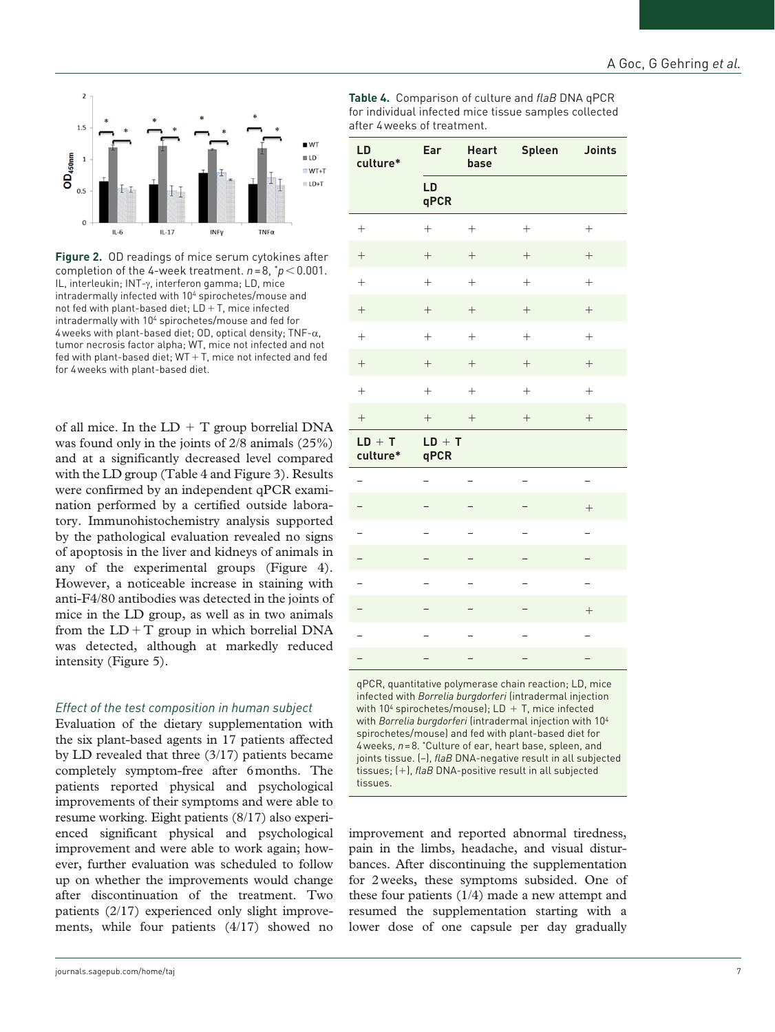

**Figure 2.** OD readings of mice serum cytokines after completion of the 4-week treatment.  $n=8$ ,  $p<0.001$ . IL, interleukin; INT-γ, interferon gamma; LD, mice intradermally infected with 104 spirochetes/mouse and not fed with plant-based diet;  $LD+T$ , mice infected intradermally with 104 spirochetes/mouse and fed for 4 weeks with plant-based diet; OD, optical density; TNF- $\alpha$ , tumor necrosis factor alpha; WT, mice not infected and not fed with plant-based diet;  $WT+T$ , mice not infected and fed for 4weeks with plant-based diet.

of all mice. In the  $LD + T$  group borrelial DNA was found only in the joints of 2/8 animals (25%) and at a significantly decreased level compared with the LD group (Table 4 and Figure 3). Results were confirmed by an independent qPCR examination performed by a certified outside laboratory. Immunohistochemistry analysis supported by the pathological evaluation revealed no signs of apoptosis in the liver and kidneys of animals in any of the experimental groups (Figure 4). However, a noticeable increase in staining with anti-F4/80 antibodies was detected in the joints of mice in the LD group, as well as in two animals from the  $LD+T$  group in which borrelial DNA was detected, although at markedly reduced intensity (Figure 5).

# *Effect of the test composition in human subject*

Evaluation of the dietary supplementation with the six plant-based agents in 17 patients affected by LD revealed that three (3/17) patients became completely symptom-free after 6months. The patients reported physical and psychological improvements of their symptoms and were able to resume working. Eight patients (8/17) also experienced significant physical and psychological improvement and were able to work again; however, further evaluation was scheduled to follow up on whether the improvements would change after discontinuation of the treatment. Two patients (2/17) experienced only slight improvements, while four patients (4/17) showed no **Table 4.** Comparison of culture and *flaB* DNA qPCR for individual infected mice tissue samples collected after 4weeks of treatment.

| LD<br>culture*       | Ear               | Spleen Joints<br><b>Heart</b><br>base |                          |                          |  |
|----------------------|-------------------|---------------------------------------|--------------------------|--------------------------|--|
|                      | LD<br>qPCR        |                                       |                          |                          |  |
|                      | $\! + \!$         |                                       |                          |                          |  |
|                      | $\! + \!\!\!\!$   |                                       |                          |                          |  |
| $^{+}$               | $\qquad \qquad +$ | $^{+}$                                | $\boldsymbol{+}$         | $^{+}$                   |  |
| $\qquad \qquad +$    | $\boldsymbol{+}$  | $\boldsymbol{+}$                      | $\boldsymbol{+}$         | $^{+}$                   |  |
| $\! + \!$            | $\! + \!$         | $\! + \!$                             | $\! + \!$                | $^{+}$                   |  |
|                      |                   |                                       | $\boldsymbol{+}$         |                          |  |
| $^{+}$               | $^{+}$            | $\! + \!$                             | $^{+}$                   | $^{+}$                   |  |
| $\qquad \qquad +$    | $\qquad \qquad +$ | $\boldsymbol{+}$                      | $\boldsymbol{+}$         | $^{+}$                   |  |
| $LD + T$<br>culture* | $LD + T$<br>qPCR  |                                       |                          |                          |  |
| $\overline{a}$       | -                 |                                       | <sup>-</sup>             | -                        |  |
|                      |                   |                                       |                          | $^{+}$                   |  |
|                      |                   |                                       |                          |                          |  |
|                      |                   |                                       |                          |                          |  |
|                      | <sup>-</sup>      |                                       | $\overline{\phantom{0}}$ | $\overline{a}$           |  |
|                      |                   |                                       |                          | $\! + \!$                |  |
|                      |                   |                                       |                          | $\overline{a}$           |  |
| -                    |                   |                                       |                          | $\overline{\phantom{0}}$ |  |

qPCR, quantitative polymerase chain reaction; LD, mice infected with *Borrelia burgdorferi* (intradermal injection with  $10^4$  spirochetes/mouse); LD + T, mice infected with *Borrelia burgdorferi* (intradermal injection with 104 spirochetes/mouse) and fed with plant-based diet for 4weeks, *n*=8. \*Culture of ear, heart base, spleen, and joints tissue. (–), *flaB* DNA-negative result in all subjected tissues; (+), *flaB* DNA-positive result in all subjected tissues.

improvement and reported abnormal tiredness, pain in the limbs, headache, and visual disturbances. After discontinuing the supplementation for 2weeks, these symptoms subsided. One of these four patients (1/4) made a new attempt and resumed the supplementation starting with a lower dose of one capsule per day gradually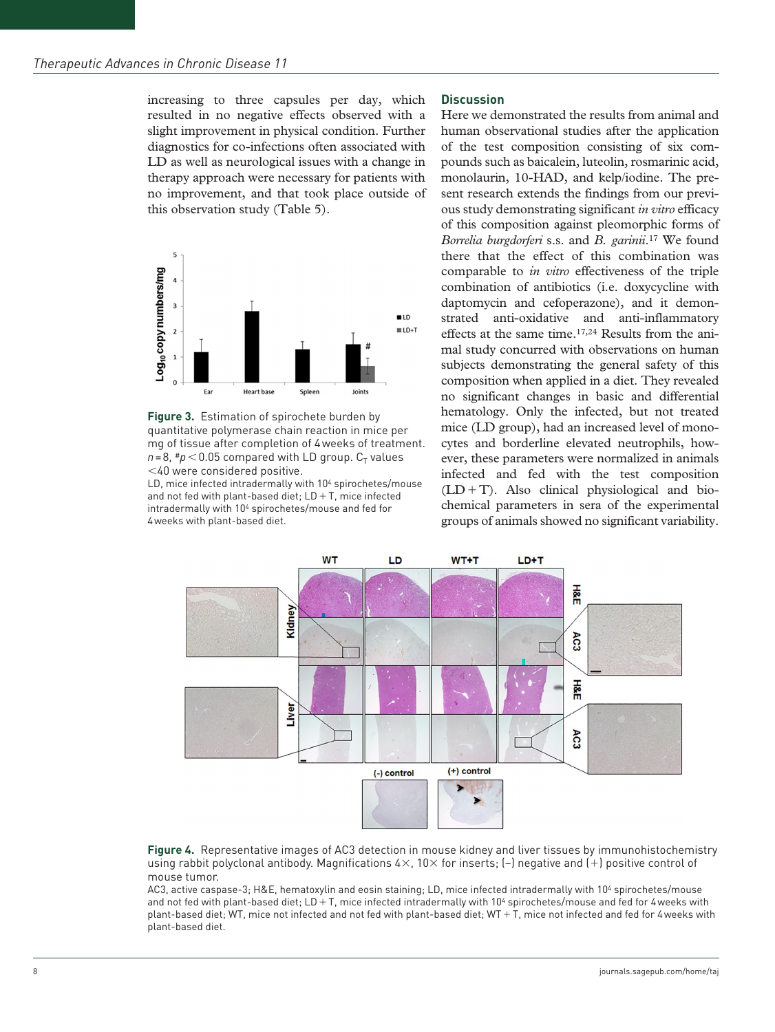increasing to three capsules per day, which resulted in no negative effects observed with a slight improvement in physical condition. Further diagnostics for co-infections often associated with LD as well as neurological issues with a change in therapy approach were necessary for patients with no improvement, and that took place outside of this observation study (Table 5).



**Figure 3.** Estimation of spirochete burden by quantitative polymerase chain reaction in mice per mg of tissue after completion of 4weeks of treatment.  $n=8$ ,  $\#p$  < 0.05 compared with LD group.  $C_T$  values <40 were considered positive.

LD, mice infected intradermally with 10<sup>4</sup> spirochetes/mouse and not fed with plant-based diet;  $LD+T$ , mice infected intradermally with 104 spirochetes/mouse and fed for 4weeks with plant-based diet.

#### **Discussion**

Here we demonstrated the results from animal and human observational studies after the application of the test composition consisting of six compounds such as baicalein, luteolin, rosmarinic acid, monolaurin, 10-HAD, and kelp/iodine. The present research extends the findings from our previous study demonstrating significant *in vitro* efficacy of this composition against pleomorphic forms of *Borrelia burgdorferi* s.s. and *B. garinii*.17 We found there that the effect of this combination was comparable to *in vitro* effectiveness of the triple combination of antibiotics (i.e. doxycycline with daptomycin and cefoperazone), and it demonstrated anti-oxidative and anti-inflammatory effects at the same time.17,24 Results from the animal study concurred with observations on human subjects demonstrating the general safety of this composition when applied in a diet. They revealed no significant changes in basic and differential hematology. Only the infected, but not treated mice (LD group), had an increased level of monocytes and borderline elevated neutrophils, however, these parameters were normalized in animals infected and fed with the test composition  $(LD+T)$ . Also clinical physiological and biochemical parameters in sera of the experimental groups of animals showed no significant variability.



**Figure 4.** Representative images of AC3 detection in mouse kidney and liver tissues by immunohistochemistry using rabbit polyclonal antibody. Magnifications  $4\times$ , 10 $\times$  for inserts;  $[-]$  negative and  $[+]$  positive control of mouse tumor.

AC3, active caspase-3; H&E, hematoxylin and eosin staining; LD, mice infected intradermally with 104 spirochetes/mouse and not fed with plant-based diet; LD+T, mice infected intradermally with 10<sup>4</sup> spirochetes/mouse and fed for 4weeks with plant-based diet; WT, mice not infected and not fed with plant-based diet; WT+T, mice not infected and fed for 4weeks with plant-based diet.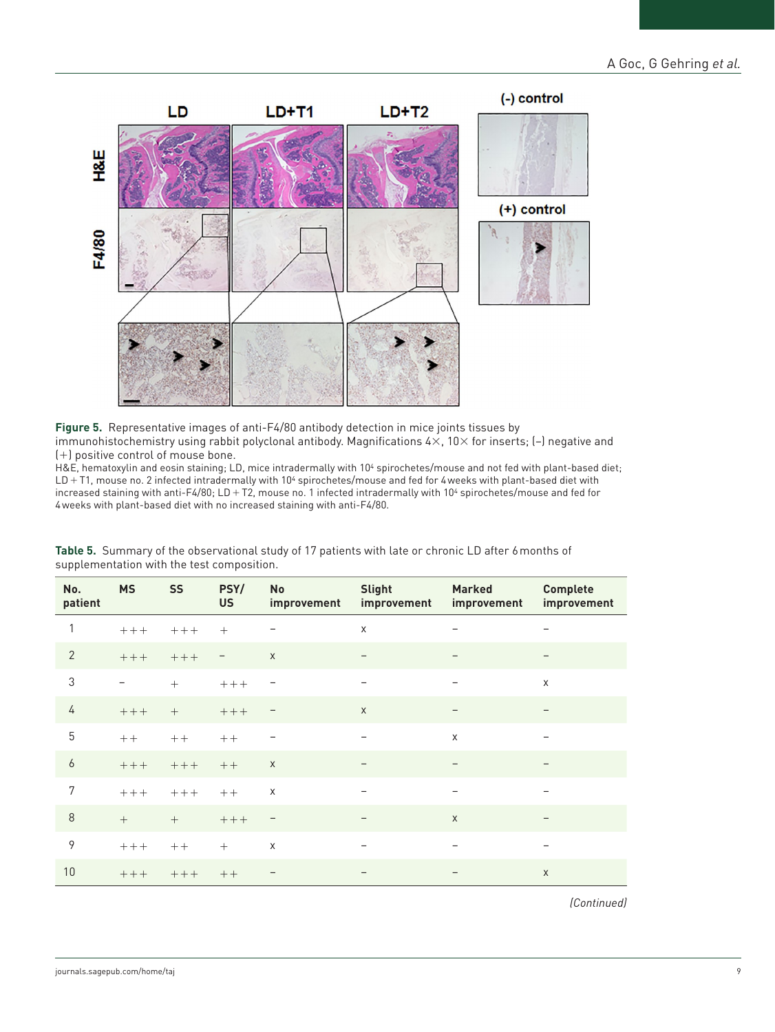

**Figure 5.** Representative images of anti-F4/80 antibody detection in mice joints tissues by immunohistochemistry using rabbit polyclonal antibody. Magnifications 4×, 10× for inserts; (–) negative and (+) positive control of mouse bone.

H&E, hematoxylin and eosin staining; LD, mice intradermally with 104 spirochetes/mouse and not fed with plant-based diet; LD + T1, mouse no. 2 infected intradermally with 10<sup>4</sup> spirochetes/mouse and fed for 4 weeks with plant-based diet with increased staining with anti-F4/80; LD+T2, mouse no. 1 infected intradermally with 10<sup>4</sup> spirochetes/mouse and fed for 4weeks with plant-based diet with no increased staining with anti-F4/80.

| No.<br>patient | <b>MS</b> | <b>SS</b> | PSY/<br><b>US</b> | <b>No</b><br>improvement | <b>Slight</b><br>improvement | <b>Marked</b><br>improvement | <b>Complete</b><br>improvement |
|----------------|-----------|-----------|-------------------|--------------------------|------------------------------|------------------------------|--------------------------------|
| 1              | $++++$    | $++++$    | $^{+}$            |                          | $\mathsf X$                  |                              | $\overline{\phantom{m}}$       |
| $\overline{2}$ | $+++$     | $++++$    |                   | $\mathsf X$              | $\overline{\phantom{a}}$     |                              |                                |
| $\sqrt{3}$     |           | $^{+}$    | $+++$             | -                        | $\qquad \qquad -$            | $\qquad \qquad -$            | X                              |
| 4              | $+++$     | $+$       | $+++$             | <u>—</u>                 | $\mathsf X$                  |                              |                                |
| 5              | $++$      | $++$      | $++$              | —                        | $\overline{\phantom{m}}$     | X                            |                                |
| 6              | $+++$     | $++++$    | $++$              | $\mathsf X$              |                              |                              |                                |
| 7              | $+++$     | $+++$     | $++$              | $\mathsf X$              | $\overline{\phantom{m}}$     | $\overline{\phantom{m}}$     |                                |
| $\,8\,$        | $^{+}$    | $+$       | $+++$             | $\qquad \qquad -$        |                              | $\mathsf{X}$                 | $\qquad \qquad$                |
| 9              | $++++$    | $++$      | $^{+}$            | $\mathsf X$              | $\overline{\phantom{0}}$     |                              |                                |
| 10             | $+++$     | $+++$     | $++$              |                          | $\overline{\phantom{a}}$     | $\overline{\phantom{m}}$     | $\mathsf{X}$                   |

**Table 5.** Summary of the observational study of 17 patients with late or chronic LD after 6months of supplementation with the test composition.

 *(Continued)*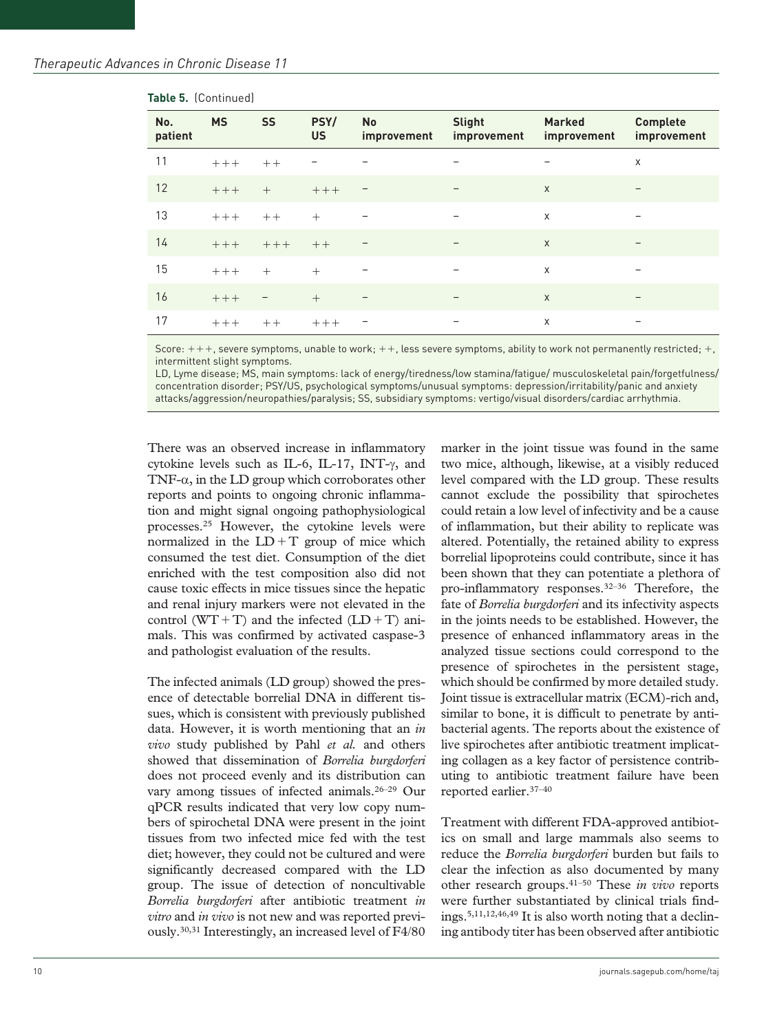| No.<br>patient | <b>MS</b> | <b>SS</b> | PSY/<br><b>US</b> | <b>No</b><br>improvement | <b>Slight</b><br>improvement | <b>Marked</b><br>improvement | <b>Complete</b><br>improvement |
|----------------|-----------|-----------|-------------------|--------------------------|------------------------------|------------------------------|--------------------------------|
| 11             | $+++$     | $++$      |                   |                          | $\overline{\phantom{m}}$     | $\overline{\phantom{m}}$     | X                              |
| 12             | $+++$     | $^{+}$    | $+++$             | $\overline{\phantom{0}}$ |                              | $\mathsf{X}$                 |                                |
| 13             | $+++$     | $++$      | $^{+}$            |                          |                              | $\mathsf{X}$                 |                                |
| 14             | $+++$     | $+++$     | $++$              |                          |                              | $\mathsf{x}$                 |                                |
| 15             | $+++$     | $+$       | $+$               | $\overline{\phantom{m}}$ | $\overline{\phantom{m}}$     | $\times$                     |                                |
| 16             | $+++$     | <b>—</b>  | $+$               | $\overline{\phantom{m}}$ | $\overline{\phantom{m}}$     | $\mathsf{X}$                 | $\overline{\phantom{m}}$       |
| 17             | $+++$     | $++$      | $+++$             | $\qquad \qquad -$        | $\overline{\phantom{m}}$     | $\times$                     |                                |

#### **Table 5.** (Continued)

Score:  $+++$ , severe symptoms, unable to work;  $++$ , less severe symptoms, ability to work not permanently restricted;  $+$ , intermittent slight symptoms.

LD, Lyme disease; MS, main symptoms: lack of energy/tiredness/low stamina/fatigue/ musculoskeletal pain/forgetfulness/ concentration disorder; PSY/US, psychological symptoms/unusual symptoms: depression/irritability/panic and anxiety attacks/aggression/neuropathies/paralysis; SS, subsidiary symptoms: vertigo/visual disorders/cardiac arrhythmia.

There was an observed increase in inflammatory cytokine levels such as IL-6, IL-17, INT-γ, and TNF- $\alpha$ , in the LD group which corroborates other reports and points to ongoing chronic inflammation and might signal ongoing pathophysiological processes.25 However, the cytokine levels were normalized in the  $LD+T$  group of mice which consumed the test diet. Consumption of the diet enriched with the test composition also did not cause toxic effects in mice tissues since the hepatic and renal injury markers were not elevated in the control (WT+T) and the infected  $(LD+T)$  animals. This was confirmed by activated caspase-3 and pathologist evaluation of the results.

The infected animals (LD group) showed the presence of detectable borrelial DNA in different tissues, which is consistent with previously published data. However, it is worth mentioning that an *in vivo* study published by Pahl *et al.* and others showed that dissemination of *Borrelia burgdorferi* does not proceed evenly and its distribution can vary among tissues of infected animals.26–29 Our qPCR results indicated that very low copy numbers of spirochetal DNA were present in the joint tissues from two infected mice fed with the test diet; however, they could not be cultured and were significantly decreased compared with the LD group. The issue of detection of noncultivable *Borrelia burgdorferi* after antibiotic treatment *in vitro* and *in vivo* is not new and was reported previously.30,31 Interestingly, an increased level of F4/80 marker in the joint tissue was found in the same two mice, although, likewise, at a visibly reduced level compared with the LD group. These results cannot exclude the possibility that spirochetes could retain a low level of infectivity and be a cause of inflammation, but their ability to replicate was altered. Potentially, the retained ability to express borrelial lipoproteins could contribute, since it has been shown that they can potentiate a plethora of pro-inflammatory responses.32–36 Therefore, the fate of *Borrelia burgdorferi* and its infectivity aspects in the joints needs to be established. However, the presence of enhanced inflammatory areas in the analyzed tissue sections could correspond to the presence of spirochetes in the persistent stage, which should be confirmed by more detailed study. Joint tissue is extracellular matrix (ECM)-rich and, similar to bone, it is difficult to penetrate by antibacterial agents. The reports about the existence of live spirochetes after antibiotic treatment implicating collagen as a key factor of persistence contributing to antibiotic treatment failure have been reported earlier.37–40

Treatment with different FDA-approved antibiotics on small and large mammals also seems to reduce the *Borrelia burgdorferi* burden but fails to clear the infection as also documented by many other research groups.41–50 These *in vivo* reports were further substantiated by clinical trials findings.5,11,12,46,49 It is also worth noting that a declining antibody titer has been observed after antibiotic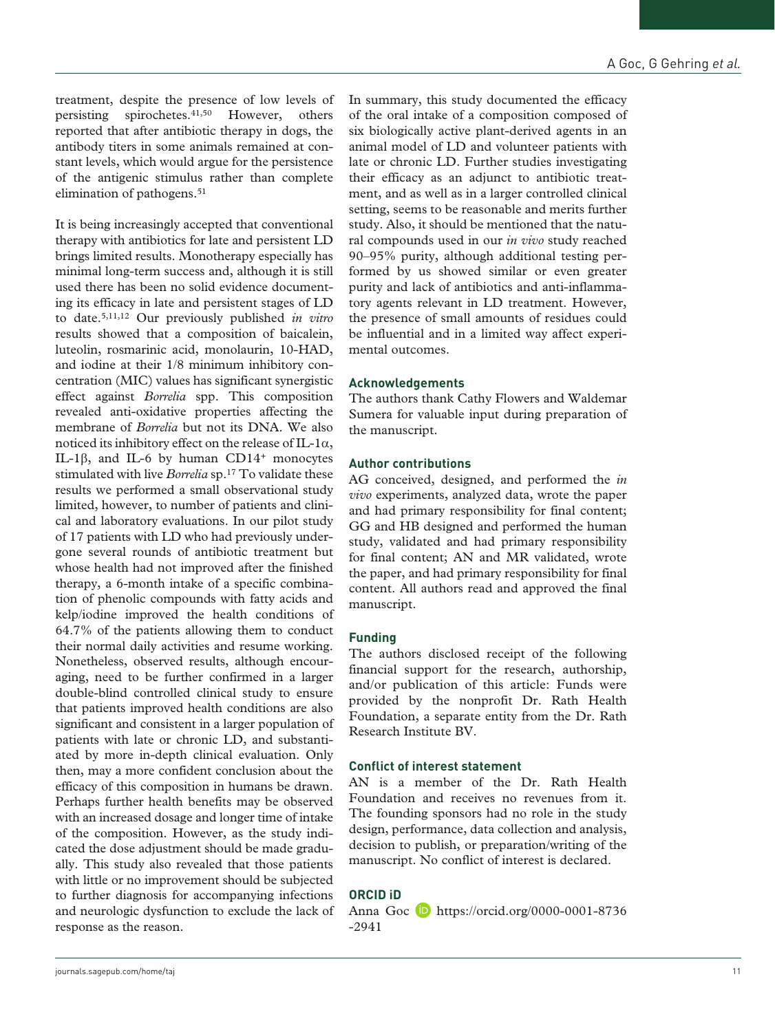treatment, despite the presence of low levels of persisting spirochetes.41,50 However, others reported that after antibiotic therapy in dogs, the antibody titers in some animals remained at constant levels, which would argue for the persistence of the antigenic stimulus rather than complete elimination of pathogens.<sup>51</sup>

It is being increasingly accepted that conventional therapy with antibiotics for late and persistent LD brings limited results. Monotherapy especially has minimal long-term success and, although it is still used there has been no solid evidence documenting its efficacy in late and persistent stages of LD to date.5,11,12 Our previously published *in vitro* results showed that a composition of baicalein, luteolin, rosmarinic acid, monolaurin, 10-HAD, and iodine at their 1/8 minimum inhibitory concentration (MIC) values has significant synergistic effect against *Borrelia* spp. This composition revealed anti-oxidative properties affecting the membrane of *Borrelia* but not its DNA. We also noticed its inhibitory effect on the release of IL-1 $\alpha$ , IL-1β, and IL-6 by human CD14<sup>+</sup> monocytes stimulated with live *Borrelia* sp.17 To validate these results we performed a small observational study limited, however, to number of patients and clinical and laboratory evaluations. In our pilot study of 17 patients with LD who had previously undergone several rounds of antibiotic treatment but whose health had not improved after the finished therapy, a 6-month intake of a specific combination of phenolic compounds with fatty acids and kelp/iodine improved the health conditions of 64.7% of the patients allowing them to conduct their normal daily activities and resume working. Nonetheless, observed results, although encouraging, need to be further confirmed in a larger double-blind controlled clinical study to ensure that patients improved health conditions are also significant and consistent in a larger population of patients with late or chronic LD, and substantiated by more in-depth clinical evaluation. Only then, may a more confident conclusion about the efficacy of this composition in humans be drawn. Perhaps further health benefits may be observed with an increased dosage and longer time of intake of the composition. However, as the study indicated the dose adjustment should be made gradually. This study also revealed that those patients with little or no improvement should be subjected to further diagnosis for accompanying infections and neurologic dysfunction to exclude the lack of response as the reason.

In summary, this study documented the efficacy of the oral intake of a composition composed of six biologically active plant-derived agents in an animal model of LD and volunteer patients with late or chronic LD. Further studies investigating their efficacy as an adjunct to antibiotic treatment, and as well as in a larger controlled clinical setting, seems to be reasonable and merits further study. Also, it should be mentioned that the natural compounds used in our *in vivo* study reached 90–95% purity, although additional testing performed by us showed similar or even greater purity and lack of antibiotics and anti-inflammatory agents relevant in LD treatment. However, the presence of small amounts of residues could be influential and in a limited way affect experimental outcomes.

## **Acknowledgements**

The authors thank Cathy Flowers and Waldemar Sumera for valuable input during preparation of the manuscript.

## **Author contributions**

AG conceived, designed, and performed the *in vivo* experiments, analyzed data, wrote the paper and had primary responsibility for final content; GG and HB designed and performed the human study, validated and had primary responsibility for final content; AN and MR validated, wrote the paper, and had primary responsibility for final content. All authors read and approved the final manuscript.

# **Funding**

The authors disclosed receipt of the following financial support for the research, authorship, and/or publication of this article: Funds were provided by the nonprofit Dr. Rath Health Foundation, a separate entity from the Dr. Rath Research Institute BV.

# **Conflict of interest statement**

AN is a member of the Dr. Rath Health Foundation and receives no revenues from it. The founding sponsors had no role in the study design, performance, data collection and analysis, decision to publish, or preparation/writing of the manuscript. No conflict of interest is declared.

# **ORCID iD**

Anna Goc  $\Box$  [https://orcid.org/0000-0001-8736](https://orcid.org/0000-0001-8736-2941) [-2941](https://orcid.org/0000-0001-8736-2941)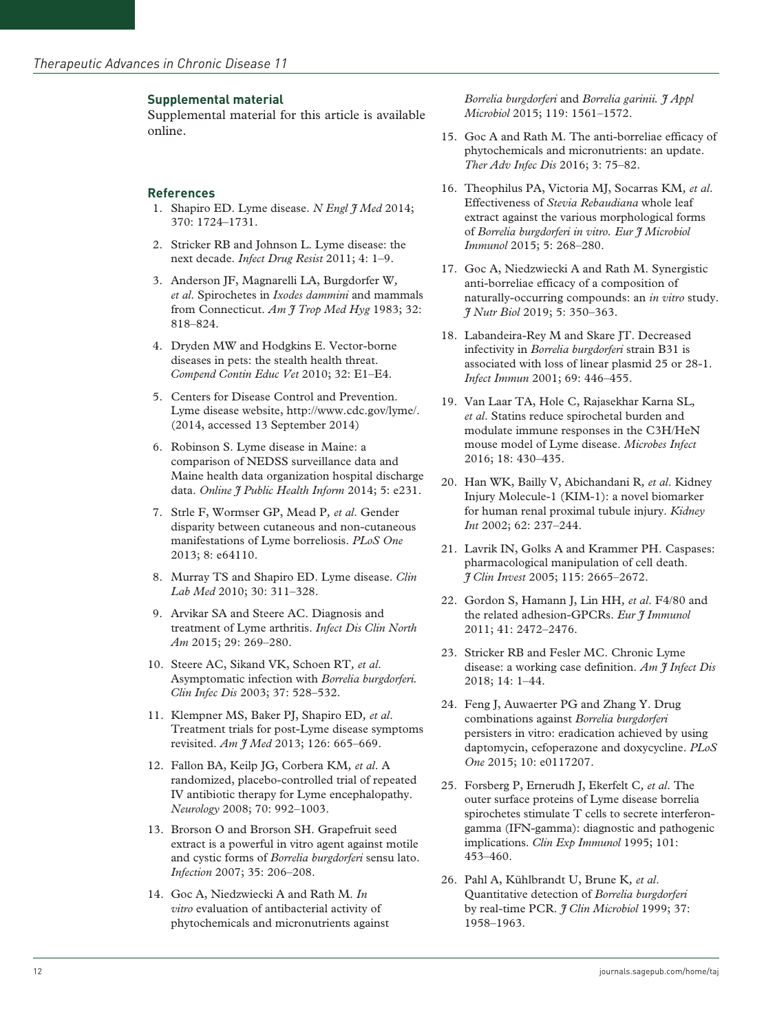## **Supplemental material**

Supplemental material for this article is available online.

#### **References**

- 1. Shapiro ED. Lyme disease. *N Engl J Med* 2014; 370: 1724–1731.
- 2. Stricker RB and Johnson L. Lyme disease: the next decade. *Infect Drug Resist* 2011; 4: 1–9.
- 3. Anderson JF, Magnarelli LA, Burgdorfer W*, et al*. Spirochetes in *Ixodes dammini* and mammals from Connecticut. *Am J Trop Med Hyg* 1983; 32: 818–824.
- 4. Dryden MW and Hodgkins E. Vector-borne diseases in pets: the stealth health threat. *Compend Contin Educ Vet* 2010; 32: E1–E4.
- 5. Centers for Disease Control and Prevention. Lyme disease website,<http://www.cdc.gov/lyme/>. (2014, accessed 13 September 2014)
- 6. Robinson S. Lyme disease in Maine: a comparison of NEDSS surveillance data and Maine health data organization hospital discharge data. *Online J Public Health Inform* 2014; 5: e231.
- 7. Strle F, Wormser GP, Mead P*, et al*. Gender disparity between cutaneous and non-cutaneous manifestations of Lyme borreliosis. *PLoS One* 2013; 8: e64110.
- 8. Murray TS and Shapiro ED. Lyme disease. *Clin Lab Med* 2010; 30: 311–328.
- 9. Arvikar SA and Steere AC. Diagnosis and treatment of Lyme arthritis. *Infect Dis Clin North Am* 2015; 29: 269–280.
- 10. Steere AC, Sikand VK, Schoen RT*, et al*. Asymptomatic infection with *Borrelia burgdorferi. Clin Infec Dis* 2003; 37: 528–532.
- 11. Klempner MS, Baker PJ, Shapiro ED*, et al*. Treatment trials for post-Lyme disease symptoms revisited. *Am J Med* 2013; 126: 665–669.
- 12. Fallon BA, Keilp JG, Corbera KM*, et al*. A randomized, placebo-controlled trial of repeated IV antibiotic therapy for Lyme encephalopathy. *Neurology* 2008; 70: 992–1003.
- 13. Brorson O and Brorson SH. Grapefruit seed extract is a powerful in vitro agent against motile and cystic forms of *Borrelia burgdorferi* sensu lato. *Infection* 2007; 35: 206–208.
- 14. Goc A, Niedzwiecki A and Rath M. *In vitro* evaluation of antibacterial activity of phytochemicals and micronutrients against

*Borrelia burgdorferi* and *Borrelia garinii. J Appl Microbiol* 2015; 119: 1561–1572.

- 15. Goc A and Rath M. The anti-borreliae efficacy of phytochemicals and micronutrients: an update. *Ther Adv Infec Dis* 2016; 3: 75–82.
- 16. Theophilus PA, Victoria MJ, Socarras KM*, et al*. Effectiveness of *Stevia Rebaudiana* whole leaf extract against the various morphological forms of *Borrelia burgdorferi in vitro. Eur J Microbiol Immunol* 2015; 5: 268–280.
- 17. Goc A, Niedzwiecki A and Rath M. Synergistic anti-borreliae efficacy of a composition of naturally-occurring compounds: an *in vitro* study. *J Nutr Biol* 2019; 5: 350–363.
- 18. Labandeira-Rey M and Skare JT. Decreased infectivity in *Borrelia burgdorferi* strain B31 is associated with loss of linear plasmid 25 or 28-1. *Infect Immun* 2001; 69: 446–455.
- 19. Van Laar TA, Hole C, Rajasekhar Karna SL*, et al*. Statins reduce spirochetal burden and modulate immune responses in the C3H/HeN mouse model of Lyme disease. *Microbes Infect* 2016; 18: 430–435.
- 20. Han WK, Bailly V, Abichandani R*, et al*. Kidney Injury Molecule-1 (KIM-1): a novel biomarker for human renal proximal tubule injury. *Kidney Int* 2002; 62: 237–244.
- 21. Lavrik IN, Golks A and Krammer PH. Caspases: pharmacological manipulation of cell death. *J Clin Invest* 2005; 115: 2665–2672.
- 22. Gordon S, Hamann J, Lin HH*, et al*. F4/80 and the related adhesion-GPCRs. *Eur J Immunol* 2011; 41: 2472–2476.
- 23. Stricker RB and Fesler MC. Chronic Lyme disease: a working case definition. *Am J Infect Dis* 2018; 14: 1–44.
- 24. Feng J, Auwaerter PG and Zhang Y. Drug combinations against *Borrelia burgdorferi* persisters in vitro: eradication achieved by using daptomycin, cefoperazone and doxycycline. *PLoS One* 2015; 10: e0117207.
- 25. Forsberg P, Ernerudh J, Ekerfelt C*, et al*. The outer surface proteins of Lyme disease borrelia spirochetes stimulate T cells to secrete interferongamma (IFN-gamma): diagnostic and pathogenic implications. *Clin Exp Immunol* 1995; 101: 453–460.
- 26. Pahl A, Kühlbrandt U, Brune K*, et al*. Quantitative detection of *Borrelia burgdorferi* by real-time PCR. *J Clin Microbiol* 1999; 37: 1958–1963.